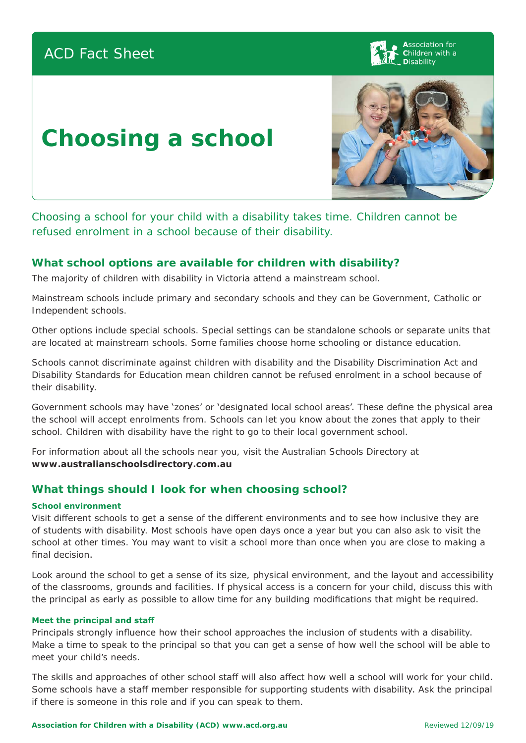# ACD Fact Sheet

**Association for** Children with a **Disability** 

# **Choosing a school**



Choosing a school for your child with a disability takes time. Children cannot be refused enrolment in a school because of their disability.

### **What school options are available for children with disability?**

The majority of children with disability in Victoria attend a mainstream school.

Mainstream schools include primary and secondary schools and they can be Government, Catholic or Independent schools.

Other options include special schools. Special settings can be standalone schools or separate units that are located at mainstream schools. Some families choose home schooling or distance education.

Schools cannot discriminate against children with disability and the Disability Discrimination Act and Disability Standards for Education mean children cannot be refused enrolment in a school because of their disability.

Government schools may have 'zones' or 'designated local school areas'. These define the physical area the school will accept enrolments from. Schools can let you know about the zones that apply to their school. Children with disability have the right to go to their local government school.

For information about all the schools near you, visit the Australian Schools Directory at **www.australianschoolsdirectory.com.au**

# **What things should I look for when choosing school?**

#### **School environment**

Visit different schools to get a sense of the different environments and to see how inclusive they are of students with disability. Most schools have open days once a year but you can also ask to visit the school at other times. You may want to visit a school more than once when you are close to making a final decision.

Look around the school to get a sense of its size, physical environment, and the layout and accessibility of the classrooms, grounds and facilities. If physical access is a concern for your child, discuss this with the principal as early as possible to allow time for any building modifications that might be required.

#### **Meet the principal and staff**

Principals strongly influence how their school approaches the inclusion of students with a disability. Make a time to speak to the principal so that you can get a sense of how well the school will be able to meet your child's needs.

The skills and approaches of other school staff will also affect how well a school will work for your child. Some schools have a staff member responsible for supporting students with disability. Ask the principal if there is someone in this role and if you can speak to them.